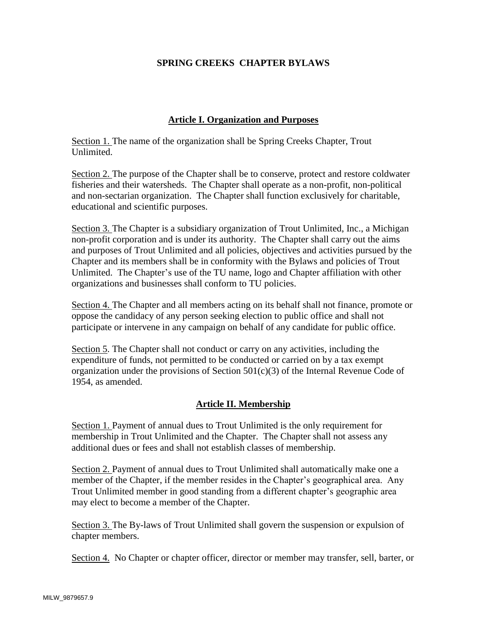### **SPRING CREEKS CHAPTER BYLAWS**

### **Article I. Organization and Purposes**

Section 1. The name of the organization shall be Spring Creeks Chapter, Trout Unlimited.

Section 2. The purpose of the Chapter shall be to conserve, protect and restore coldwater fisheries and their watersheds. The Chapter shall operate as a non-profit, non-political and non-sectarian organization. The Chapter shall function exclusively for charitable, educational and scientific purposes.

Section 3. The Chapter is a subsidiary organization of Trout Unlimited, Inc., a Michigan non-profit corporation and is under its authority. The Chapter shall carry out the aims and purposes of Trout Unlimited and all policies, objectives and activities pursued by the Chapter and its members shall be in conformity with the Bylaws and policies of Trout Unlimited. The Chapter's use of the TU name, logo and Chapter affiliation with other organizations and businesses shall conform to TU policies.

Section 4. The Chapter and all members acting on its behalf shall not finance, promote or oppose the candidacy of any person seeking election to public office and shall not participate or intervene in any campaign on behalf of any candidate for public office.

Section 5. The Chapter shall not conduct or carry on any activities, including the expenditure of funds, not permitted to be conducted or carried on by a tax exempt organization under the provisions of Section  $501(c)(3)$  of the Internal Revenue Code of 1954, as amended.

### **Article II. Membership**

Section 1. Payment of annual dues to Trout Unlimited is the only requirement for membership in Trout Unlimited and the Chapter. The Chapter shall not assess any additional dues or fees and shall not establish classes of membership.

Section 2. Payment of annual dues to Trout Unlimited shall automatically make one a member of the Chapter, if the member resides in the Chapter's geographical area. Any Trout Unlimited member in good standing from a different chapter's geographic area may elect to become a member of the Chapter.

Section 3. The By-laws of Trout Unlimited shall govern the suspension or expulsion of chapter members.

Section 4. No Chapter or chapter officer, director or member may transfer, sell, barter, or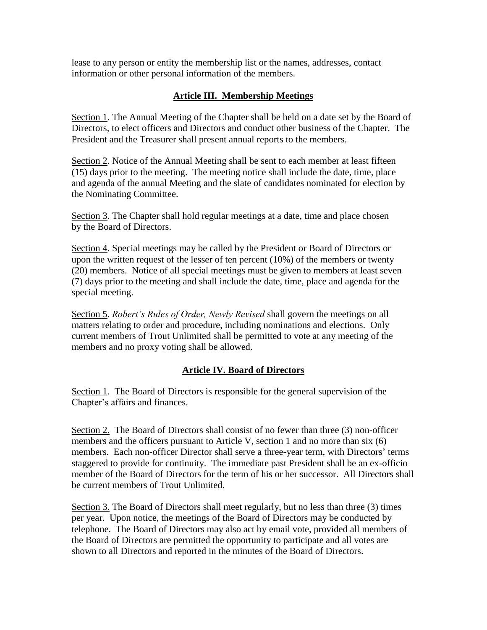lease to any person or entity the membership list or the names, addresses, contact information or other personal information of the members.

# **Article III. Membership Meetings**

Section 1. The Annual Meeting of the Chapter shall be held on a date set by the Board of Directors, to elect officers and Directors and conduct other business of the Chapter. The President and the Treasurer shall present annual reports to the members.

Section 2. Notice of the Annual Meeting shall be sent to each member at least fifteen (15) days prior to the meeting. The meeting notice shall include the date, time, place and agenda of the annual Meeting and the slate of candidates nominated for election by the Nominating Committee.

Section 3. The Chapter shall hold regular meetings at a date, time and place chosen by the Board of Directors.

Section 4. Special meetings may be called by the President or Board of Directors or upon the written request of the lesser of ten percent (10%) of the members or twenty (20) members. Notice of all special meetings must be given to members at least seven (7) days prior to the meeting and shall include the date, time, place and agenda for the special meeting.

Section 5. *Robert's Rules of Order, Newly Revised* shall govern the meetings on all matters relating to order and procedure, including nominations and elections. Only current members of Trout Unlimited shall be permitted to vote at any meeting of the members and no proxy voting shall be allowed.

## **Article IV. Board of Directors**

Section 1. The Board of Directors is responsible for the general supervision of the Chapter's affairs and finances.

Section 2. The Board of Directors shall consist of no fewer than three (3) non-officer members and the officers pursuant to Article V, section 1 and no more than six (6) members. Each non-officer Director shall serve a three-year term, with Directors' terms staggered to provide for continuity. The immediate past President shall be an ex-officio member of the Board of Directors for the term of his or her successor. All Directors shall be current members of Trout Unlimited.

Section 3. The Board of Directors shall meet regularly, but no less than three (3) times per year. Upon notice, the meetings of the Board of Directors may be conducted by telephone. The Board of Directors may also act by email vote, provided all members of the Board of Directors are permitted the opportunity to participate and all votes are shown to all Directors and reported in the minutes of the Board of Directors.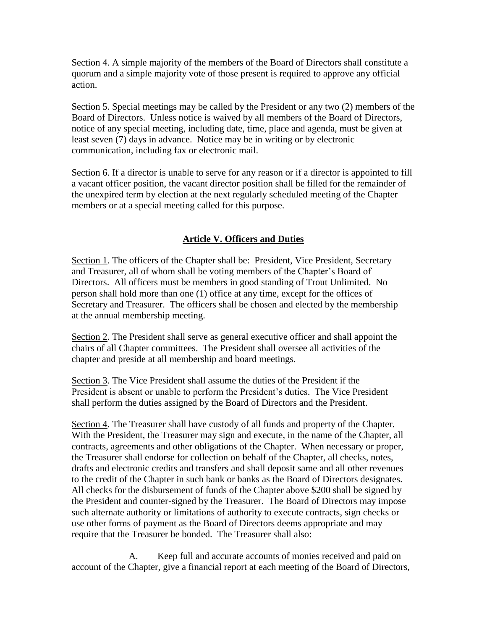Section 4. A simple majority of the members of the Board of Directors shall constitute a quorum and a simple majority vote of those present is required to approve any official action.

Section 5. Special meetings may be called by the President or any two (2) members of the Board of Directors. Unless notice is waived by all members of the Board of Directors, notice of any special meeting, including date, time, place and agenda, must be given at least seven (7) days in advance. Notice may be in writing or by electronic communication, including fax or electronic mail.

Section 6. If a director is unable to serve for any reason or if a director is appointed to fill a vacant officer position, the vacant director position shall be filled for the remainder of the unexpired term by election at the next regularly scheduled meeting of the Chapter members or at a special meeting called for this purpose.

# **Article V. Officers and Duties**

Section 1. The officers of the Chapter shall be: President, Vice President, Secretary and Treasurer, all of whom shall be voting members of the Chapter's Board of Directors. All officers must be members in good standing of Trout Unlimited. No person shall hold more than one (1) office at any time, except for the offices of Secretary and Treasurer. The officers shall be chosen and elected by the membership at the annual membership meeting.

Section 2. The President shall serve as general executive officer and shall appoint the chairs of all Chapter committees. The President shall oversee all activities of the chapter and preside at all membership and board meetings.

Section 3. The Vice President shall assume the duties of the President if the President is absent or unable to perform the President's duties. The Vice President shall perform the duties assigned by the Board of Directors and the President.

Section 4. The Treasurer shall have custody of all funds and property of the Chapter. With the President, the Treasurer may sign and execute, in the name of the Chapter, all contracts, agreements and other obligations of the Chapter. When necessary or proper, the Treasurer shall endorse for collection on behalf of the Chapter, all checks, notes, drafts and electronic credits and transfers and shall deposit same and all other revenues to the credit of the Chapter in such bank or banks as the Board of Directors designates. All checks for the disbursement of funds of the Chapter above \$200 shall be signed by the President and counter-signed by the Treasurer. The Board of Directors may impose such alternate authority or limitations of authority to execute contracts, sign checks or use other forms of payment as the Board of Directors deems appropriate and may require that the Treasurer be bonded. The Treasurer shall also:

A. Keep full and accurate accounts of monies received and paid on account of the Chapter, give a financial report at each meeting of the Board of Directors,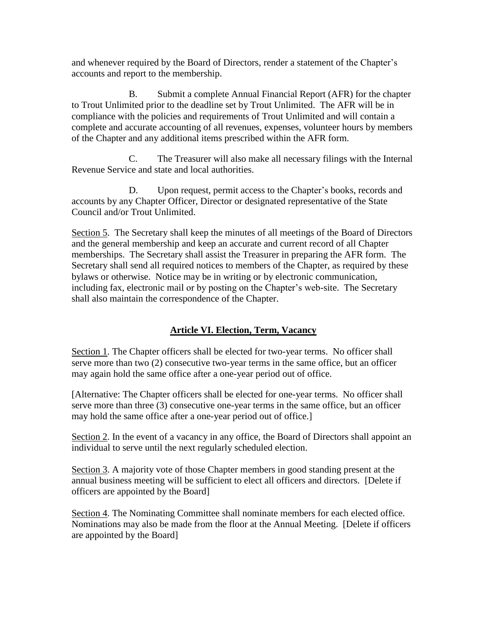and whenever required by the Board of Directors, render a statement of the Chapter's accounts and report to the membership.

B. Submit a complete Annual Financial Report (AFR) for the chapter to Trout Unlimited prior to the deadline set by Trout Unlimited. The AFR will be in compliance with the policies and requirements of Trout Unlimited and will contain a complete and accurate accounting of all revenues, expenses, volunteer hours by members of the Chapter and any additional items prescribed within the AFR form.

C. The Treasurer will also make all necessary filings with the Internal Revenue Service and state and local authorities.

D. Upon request, permit access to the Chapter's books, records and accounts by any Chapter Officer, Director or designated representative of the State Council and/or Trout Unlimited.

Section 5. The Secretary shall keep the minutes of all meetings of the Board of Directors and the general membership and keep an accurate and current record of all Chapter memberships. The Secretary shall assist the Treasurer in preparing the AFR form. The Secretary shall send all required notices to members of the Chapter, as required by these bylaws or otherwise. Notice may be in writing or by electronic communication, including fax, electronic mail or by posting on the Chapter's web-site. The Secretary shall also maintain the correspondence of the Chapter.

# **Article VI. Election, Term, Vacancy**

Section 1. The Chapter officers shall be elected for two-year terms. No officer shall serve more than two (2) consecutive two-year terms in the same office, but an officer may again hold the same office after a one-year period out of office.

[Alternative: The Chapter officers shall be elected for one-year terms. No officer shall serve more than three (3) consecutive one-year terms in the same office, but an officer may hold the same office after a one-year period out of office.]

Section 2. In the event of a vacancy in any office, the Board of Directors shall appoint an individual to serve until the next regularly scheduled election.

Section 3. A majority vote of those Chapter members in good standing present at the annual business meeting will be sufficient to elect all officers and directors. [Delete if officers are appointed by the Board]

Section 4. The Nominating Committee shall nominate members for each elected office. Nominations may also be made from the floor at the Annual Meeting. [Delete if officers are appointed by the Board]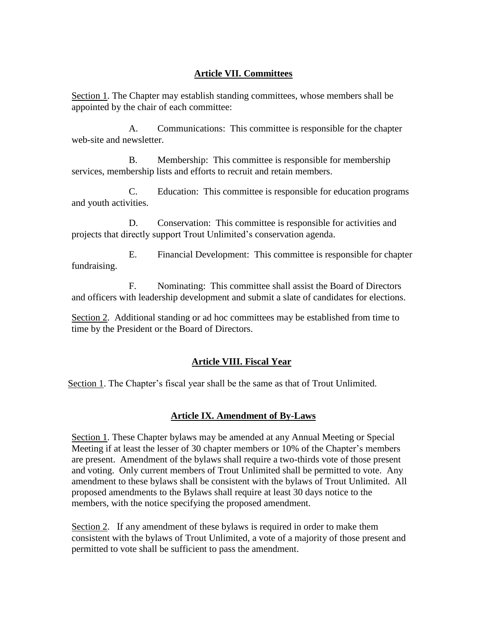# **Article VII. Committees**

Section 1. The Chapter may establish standing committees, whose members shall be appointed by the chair of each committee:

A. Communications: This committee is responsible for the chapter web-site and newsletter.

B. Membership: This committee is responsible for membership services, membership lists and efforts to recruit and retain members.

C. Education: This committee is responsible for education programs and youth activities.

D. Conservation: This committee is responsible for activities and projects that directly support Trout Unlimited's conservation agenda.

E. Financial Development: This committee is responsible for chapter fundraising.

F. Nominating: This committee shall assist the Board of Directors and officers with leadership development and submit a slate of candidates for elections.

Section 2. Additional standing or ad hoc committees may be established from time to time by the President or the Board of Directors.

## **Article VIII. Fiscal Year**

Section 1. The Chapter's fiscal year shall be the same as that of Trout Unlimited.

## **Article IX. Amendment of By-Laws**

Section 1. These Chapter bylaws may be amended at any Annual Meeting or Special Meeting if at least the lesser of 30 chapter members or 10% of the Chapter's members are present. Amendment of the bylaws shall require a two-thirds vote of those present and voting. Only current members of Trout Unlimited shall be permitted to vote. Any amendment to these bylaws shall be consistent with the bylaws of Trout Unlimited. All proposed amendments to the Bylaws shall require at least 30 days notice to the members, with the notice specifying the proposed amendment.

Section 2. If any amendment of these bylaws is required in order to make them consistent with the bylaws of Trout Unlimited, a vote of a majority of those present and permitted to vote shall be sufficient to pass the amendment.